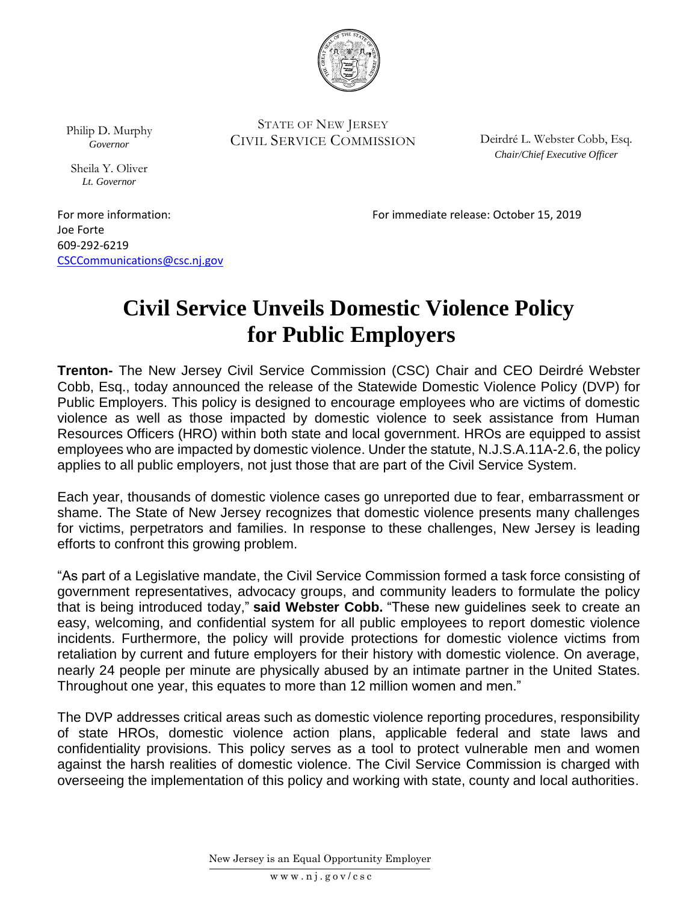

Philip D. Murphy *Governor*

Sheila Y. Oliver *Lt. Governor*

STATE OF NEW JERSEY CIVIL SERVICE COMMISSION

Deirdré L. Webster Cobb, Esq. *Chair/Chief Executive Officer*

For more information: For immediate release: October 15, 2019

Joe Forte 609-292-6219 [CSCCommunications@csc.nj.gov](mailto:CSCCommunications@csc.nj.gov)

## **Civil Service Unveils Domestic Violence Policy for Public Employers**

**Trenton-** The New Jersey Civil Service Commission (CSC) Chair and CEO Deirdré Webster Cobb, Esq., today announced the release of the Statewide Domestic Violence Policy (DVP) for Public Employers. This policy is designed to encourage employees who are victims of domestic violence as well as those impacted by domestic violence to seek assistance from Human Resources Officers (HRO) within both state and local government. HROs are equipped to assist employees who are impacted by domestic violence. Under the statute, N.J.S.A.11A-2.6, the policy applies to all public employers, not just those that are part of the Civil Service System.

Each year, thousands of domestic violence cases go unreported due to fear, embarrassment or shame. The State of New Jersey recognizes that domestic violence presents many challenges for victims, perpetrators and families. In response to these challenges, New Jersey is leading efforts to confront this growing problem.

"As part of a Legislative mandate, the Civil Service Commission formed a task force consisting of government representatives, advocacy groups, and community leaders to formulate the policy that is being introduced today," **said Webster Cobb.** "These new guidelines seek to create an easy, welcoming, and confidential system for all public employees to report domestic violence incidents. Furthermore, the policy will provide protections for domestic violence victims from retaliation by current and future employers for their history with domestic violence. On average, nearly 24 people per minute are physically abused by an intimate partner in the United States. Throughout one year, this equates to more than 12 million women and men."

The DVP addresses critical areas such as domestic violence reporting procedures, responsibility of state HROs, domestic violence action plans, applicable federal and state laws and confidentiality provisions. This policy serves as a tool to protect vulnerable men and women against the harsh realities of domestic violence. The Civil Service Commission is charged with overseeing the implementation of this policy and working with state, county and local authorities.